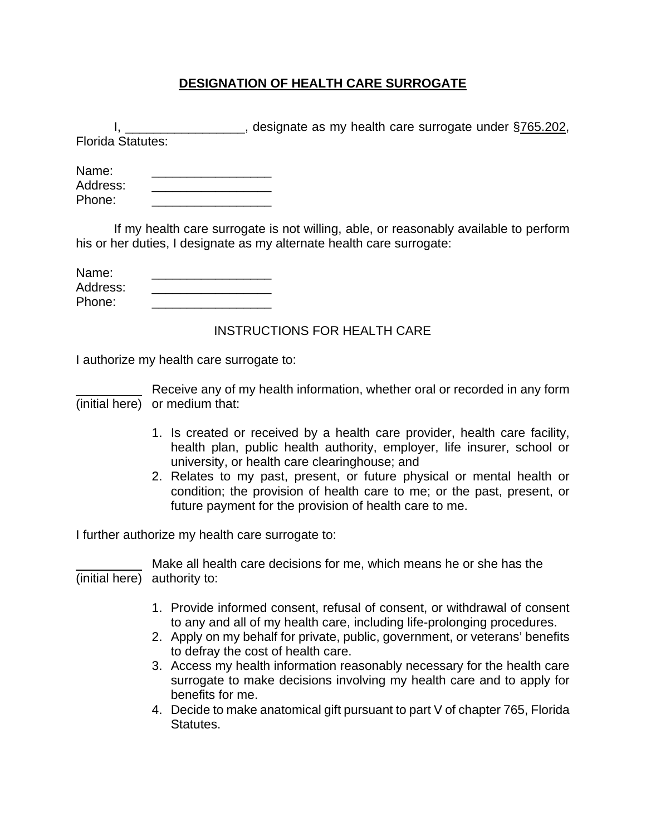## **DESIGNATION OF HEALTH CARE SURROGATE**

|                              | I, ___________________, designate as my health care surrogate under §765.202,                                                                                                                                                                                                                                                                                                                                         |  |  |
|------------------------------|-----------------------------------------------------------------------------------------------------------------------------------------------------------------------------------------------------------------------------------------------------------------------------------------------------------------------------------------------------------------------------------------------------------------------|--|--|
| <b>Florida Statutes:</b>     |                                                                                                                                                                                                                                                                                                                                                                                                                       |  |  |
| Name:<br>Address:<br>Phone:  | <u> 1990 - Johann Stoff, mars and de Branch and de Branch and de Branch and de Branch and de Branch and de Branch</u>                                                                                                                                                                                                                                                                                                 |  |  |
|                              | If my health care surrogate is not willing, able, or reasonably available to perform<br>his or her duties, I designate as my alternate health care surrogate:                                                                                                                                                                                                                                                         |  |  |
| Name:<br>Address:<br>Phone:  |                                                                                                                                                                                                                                                                                                                                                                                                                       |  |  |
|                              | <b>INSTRUCTIONS FOR HEALTH CARE</b>                                                                                                                                                                                                                                                                                                                                                                                   |  |  |
|                              | I authorize my health care surrogate to:                                                                                                                                                                                                                                                                                                                                                                              |  |  |
|                              | Receive any of my health information, whether oral or recorded in any form<br>(initial here) or medium that:                                                                                                                                                                                                                                                                                                          |  |  |
|                              | 1. Is created or received by a health care provider, health care facility,<br>health plan, public health authority, employer, life insurer, school or<br>university, or health care clearinghouse; and<br>2. Relates to my past, present, or future physical or mental health or<br>condition; the provision of health care to me; or the past, present, or<br>future payment for the provision of health care to me. |  |  |
|                              | I further authorize my health care surrogate to:                                                                                                                                                                                                                                                                                                                                                                      |  |  |
| (initial here) authority to: | Make all health care decisions for me, which means he or she has the                                                                                                                                                                                                                                                                                                                                                  |  |  |
|                              | 1. Provide informed consent, refusal of consent, or withdrawal of consent<br>to any and all of my health care, including life-prolonging procedures.                                                                                                                                                                                                                                                                  |  |  |
|                              | 2. Apply on my behalf for private, public, government, or veterans' benefits<br>to defray the cost of health care.                                                                                                                                                                                                                                                                                                    |  |  |
|                              | 3. Access my health information reasonably necessary for the health care<br>surrogate to make decisions involving my health care and to apply for<br>benefits for me.                                                                                                                                                                                                                                                 |  |  |

4. Decide to make anatomical gift pursuant to part V of chapter 765, Florida Statutes.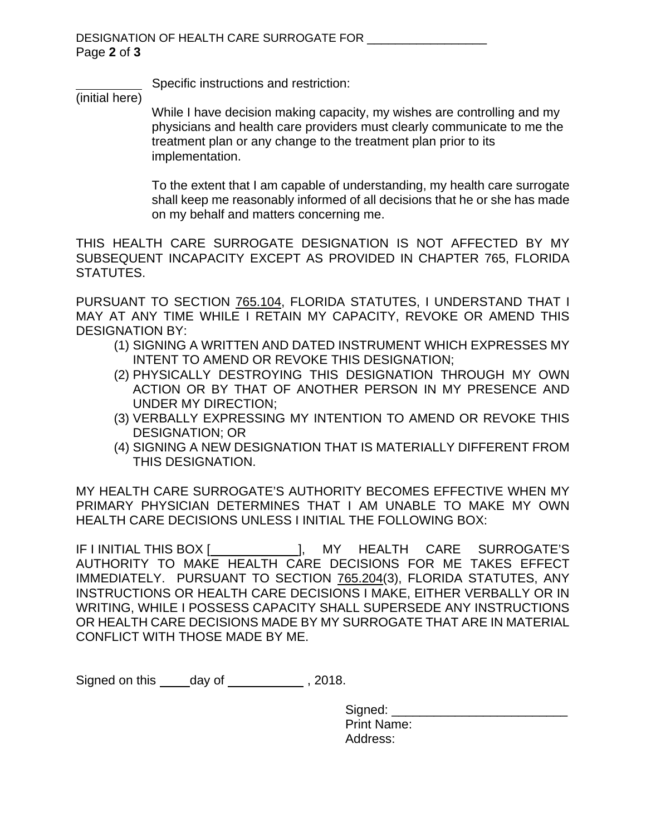Specific instructions and restriction:

(initial here)

 While I have decision making capacity, my wishes are controlling and my physicians and health care providers must clearly communicate to me the treatment plan or any change to the treatment plan prior to its implementation.

 To the extent that I am capable of understanding, my health care surrogate shall keep me reasonably informed of all decisions that he or she has made on my behalf and matters concerning me.

THIS HEALTH CARE SURROGATE DESIGNATION IS NOT AFFECTED BY MY SUBSEQUENT INCAPACITY EXCEPT AS PROVIDED IN CHAPTER 765, FLORIDA STATUTES.

PURSUANT TO SECTION 765.104, FLORIDA STATUTES, I UNDERSTAND THAT I MAY AT ANY TIME WHILE I RETAIN MY CAPACITY, REVOKE OR AMEND THIS DESIGNATION BY:

- (1) SIGNING A WRITTEN AND DATED INSTRUMENT WHICH EXPRESSES MY INTENT TO AMEND OR REVOKE THIS DESIGNATION;
- (2) PHYSICALLY DESTROYING THIS DESIGNATION THROUGH MY OWN ACTION OR BY THAT OF ANOTHER PERSON IN MY PRESENCE AND UNDER MY DIRECTION;
- (3) VERBALLY EXPRESSING MY INTENTION TO AMEND OR REVOKE THIS DESIGNATION; OR
- (4) SIGNING A NEW DESIGNATION THAT IS MATERIALLY DIFFERENT FROM THIS DESIGNATION.

MY HEALTH CARE SURROGATE'S AUTHORITY BECOMES EFFECTIVE WHEN MY PRIMARY PHYSICIAN DETERMINES THAT I AM UNABLE TO MAKE MY OWN HEALTH CARE DECISIONS UNLESS I INITIAL THE FOLLOWING BOX:

IF I INITIAL THIS BOX [ \_\_\_\_\_\_\_\_\_\_], MY HEALTH CARE SURROGATE'S AUTHORITY TO MAKE HEALTH CARE DECISIONS FOR ME TAKES EFFECT IMMEDIATELY. PURSUANT TO SECTION 765.204(3), FLORIDA STATUTES, ANY INSTRUCTIONS OR HEALTH CARE DECISIONS I MAKE, EITHER VERBALLY OR IN WRITING, WHILE I POSSESS CAPACITY SHALL SUPERSEDE ANY INSTRUCTIONS OR HEALTH CARE DECISIONS MADE BY MY SURROGATE THAT ARE IN MATERIAL CONFLICT WITH THOSE MADE BY ME.

Signed on this day of , 2018.

| Signed:            |  |
|--------------------|--|
| <b>Print Name:</b> |  |
| Address:           |  |